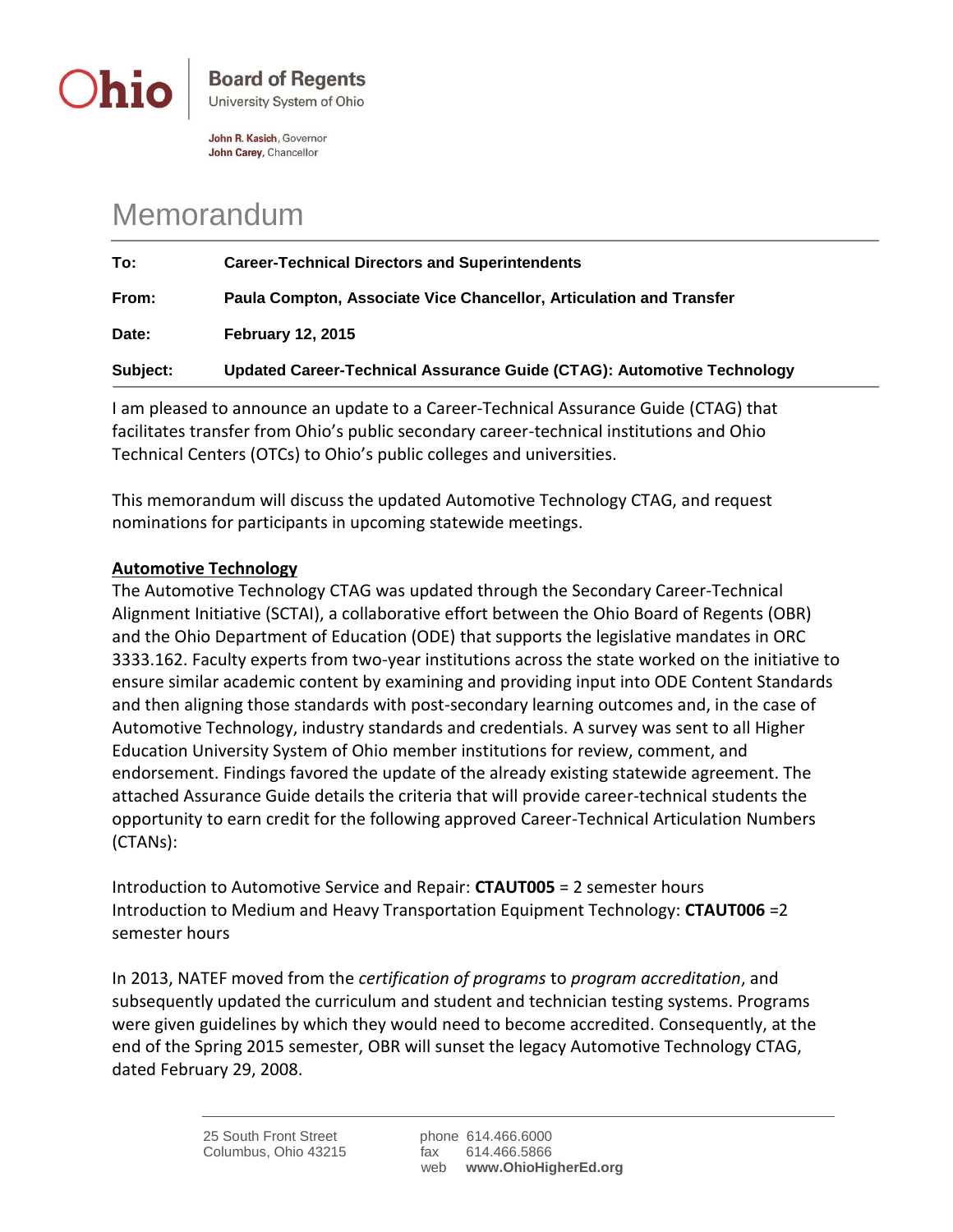

John R. Kasich, Governor John Carey, Chancellor

## Memorandum

| To:      | <b>Career-Technical Directors and Superintendents</b>                  |
|----------|------------------------------------------------------------------------|
| From:    | Paula Compton, Associate Vice Chancellor, Articulation and Transfer    |
| Date:    | <b>February 12, 2015</b>                                               |
| Subject: | Updated Career-Technical Assurance Guide (CTAG): Automotive Technology |

I am pleased to announce an update to a Career-Technical Assurance Guide (CTAG) that facilitates transfer from Ohio's public secondary career-technical institutions and Ohio Technical Centers (OTCs) to Ohio's public colleges and universities.

This memorandum will discuss the updated Automotive Technology CTAG, and request nominations for participants in upcoming statewide meetings.

## **Automotive Technology**

The Automotive Technology CTAG was updated through the Secondary Career-Technical Alignment Initiative (SCTAI), a collaborative effort between the Ohio Board of Regents (OBR) and the Ohio Department of Education (ODE) that supports the legislative mandates in ORC 3333.162. Faculty experts from two-year institutions across the state worked on the initiative to ensure similar academic content by examining and providing input into ODE Content Standards and then aligning those standards with post-secondary learning outcomes and, in the case of Automotive Technology, industry standards and credentials. A survey was sent to all Higher Education University System of Ohio member institutions for review, comment, and endorsement. Findings favored the update of the already existing statewide agreement. The attached Assurance Guide details the criteria that will provide career-technical students the opportunity to earn credit for the following approved Career-Technical Articulation Numbers (CTANs):

Introduction to Automotive Service and Repair: **CTAUT005** = 2 semester hours Introduction to Medium and Heavy Transportation Equipment Technology: **CTAUT006** =2 semester hours

In 2013, NATEF moved from the *certification of programs* to *program accreditation*, and subsequently updated the curriculum and student and technician testing systems. Programs were given guidelines by which they would need to become accredited. Consequently, at the end of the Spring 2015 semester, OBR will sunset the legacy Automotive Technology CTAG, dated February 29, 2008.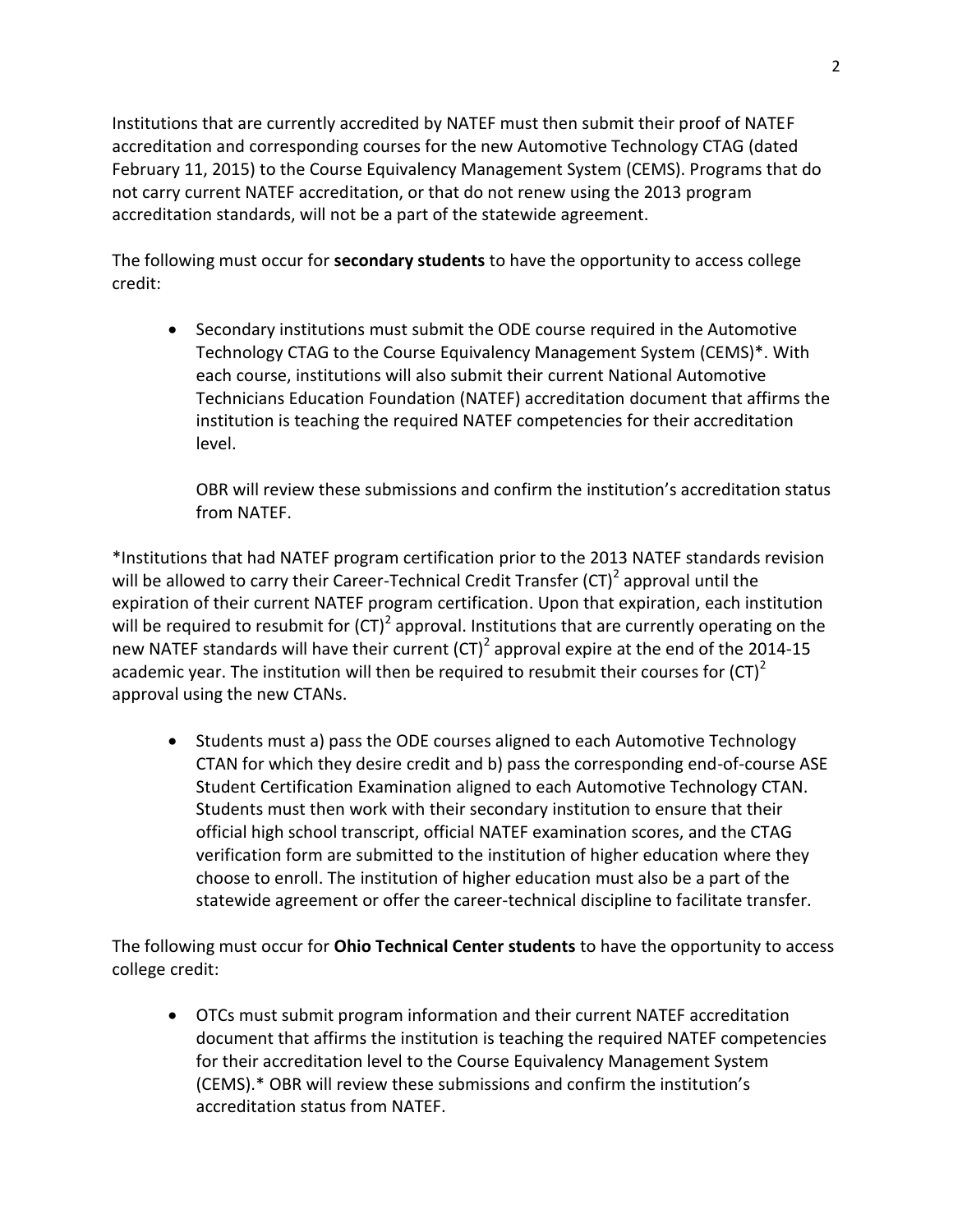Institutions that are currently accredited by NATEF must then submit their proof of NATEF accreditation and corresponding courses for the new Automotive Technology CTAG (dated February 11, 2015) to the Course Equivalency Management System (CEMS). Programs that do not carry current NATEF accreditation, or that do not renew using the 2013 program accreditation standards, will not be a part of the statewide agreement.

The following must occur for **secondary students** to have the opportunity to access college credit:

 Secondary institutions must submit the ODE course required in the Automotive Technology CTAG to the Course Equivalency Management System (CEMS)\*. With each course, institutions will also submit their current National Automotive Technicians Education Foundation (NATEF) accreditation document that affirms the institution is teaching the required NATEF competencies for their accreditation level.

OBR will review these submissions and confirm the institution's accreditation status from NATEF.

\*Institutions that had NATEF program certification prior to the 2013 NATEF standards revision will be allowed to carry their Career-Technical Credit Transfer (CT)<sup>2</sup> approval until the expiration of their current NATEF program certification. Upon that expiration, each institution will be required to resubmit for (CT)<sup>2</sup> approval. Institutions that are currently operating on the new NATEF standards will have their current (CT)<sup>2</sup> approval expire at the end of the 2014-15 academic year. The institution will then be required to resubmit their courses for  $(CT)^2$ approval using the new CTANs.

• Students must a) pass the ODE courses aligned to each Automotive Technology CTAN for which they desire credit and b) pass the corresponding end-of-course ASE Student Certification Examination aligned to each Automotive Technology CTAN. Students must then work with their secondary institution to ensure that their official high school transcript, official NATEF examination scores, and the CTAG verification form are submitted to the institution of higher education where they choose to enroll. The institution of higher education must also be a part of the statewide agreement or offer the career-technical discipline to facilitate transfer.

The following must occur for **Ohio Technical Center students** to have the opportunity to access college credit:

 OTCs must submit program information and their current NATEF accreditation document that affirms the institution is teaching the required NATEF competencies for their accreditation level to the Course Equivalency Management System (CEMS).\* OBR will review these submissions and confirm the institution's accreditation status from NATEF.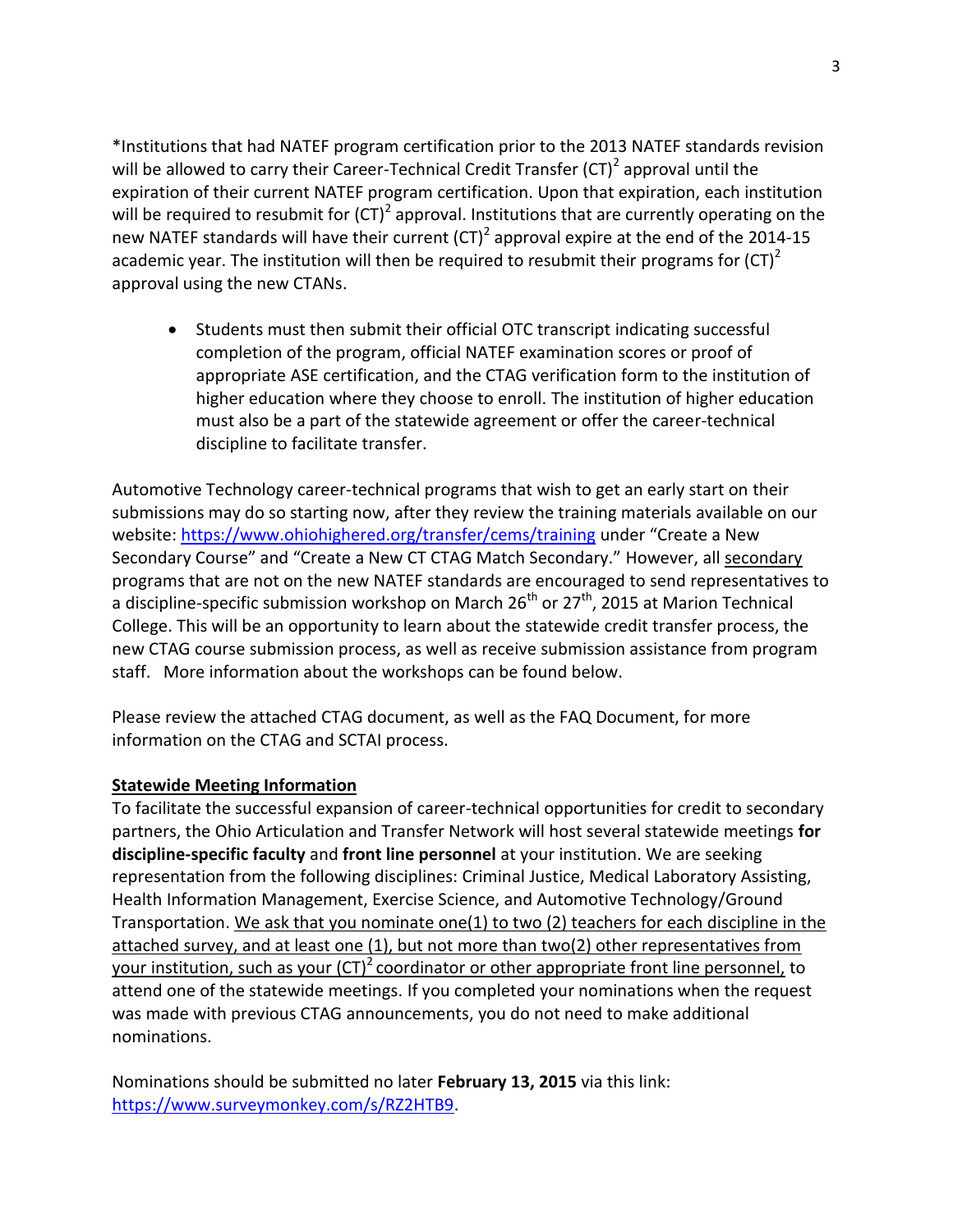\*Institutions that had NATEF program certification prior to the 2013 NATEF standards revision will be allowed to carry their Career-Technical Credit Transfer (CT)<sup>2</sup> approval until the expiration of their current NATEF program certification. Upon that expiration, each institution will be required to resubmit for (CT)<sup>2</sup> approval. Institutions that are currently operating on the new NATEF standards will have their current (CT)<sup>2</sup> approval expire at the end of the 2014-15 academic year. The institution will then be required to resubmit their programs for  $(CT)^2$ approval using the new CTANs.

 Students must then submit their official OTC transcript indicating successful completion of the program, official NATEF examination scores or proof of appropriate ASE certification, and the CTAG verification form to the institution of higher education where they choose to enroll. The institution of higher education must also be a part of the statewide agreement or offer the career-technical discipline to facilitate transfer.

Automotive Technology career-technical programs that wish to get an early start on their submissions may do so starting now, after they review the training materials available on our website:<https://www.ohiohighered.org/transfer/cems/training> under "Create a New Secondary Course" and "Create a New CT CTAG Match Secondary." However, all secondary programs that are not on the new NATEF standards are encouraged to send representatives to a discipline-specific submission workshop on March  $26<sup>th</sup>$  or  $27<sup>th</sup>$ , 2015 at Marion Technical College. This will be an opportunity to learn about the statewide credit transfer process, the new CTAG course submission process, as well as receive submission assistance from program staff. More information about the workshops can be found below.

Please review the attached CTAG document, as well as the FAQ Document, for more information on the CTAG and SCTAI process.

## **Statewide Meeting Information**

To facilitate the successful expansion of career-technical opportunities for credit to secondary partners, the Ohio Articulation and Transfer Network will host several statewide meetings **for discipline-specific faculty** and **front line personnel** at your institution. We are seeking representation from the following disciplines: Criminal Justice, Medical Laboratory Assisting, Health Information Management, Exercise Science, and Automotive Technology/Ground Transportation. We ask that you nominate one(1) to two (2) teachers for each discipline in the attached survey, and at least one (1), but not more than two(2) other representatives from your institution, such as your  $(CT)^2$  coordinator or other appropriate front line personnel, to attend one of the statewide meetings. If you completed your nominations when the request was made with previous CTAG announcements, you do not need to make additional nominations.

Nominations should be submitted no later **February 13, 2015** via this link: [https://www.surveymonkey.com/s/RZ2HTB9.](https://www.surveymonkey.com/s/RZ2HTB9)